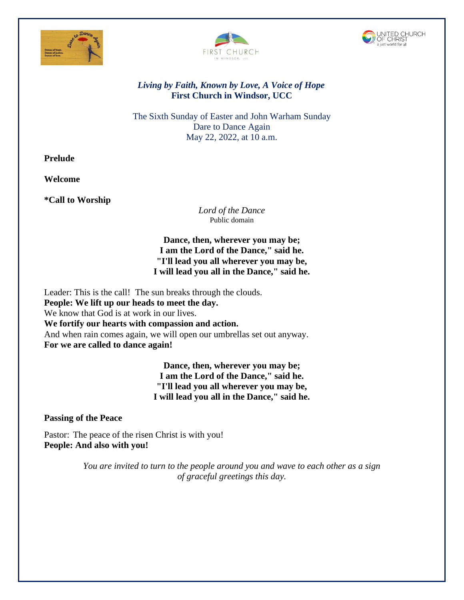





# *Living by Faith, Known by Love, A Voice of Hope* **First Church in Windsor, UCC**

The Sixth Sunday of Easter and John Warham Sunday Dare to Dance Again May 22, 2022, at 10 a.m.

**Prelude**

**Welcome**

**\*Call to Worship** 

*Lord of the Dance* Public domain

**Dance, then, wherever you may be; I am the Lord of the Dance," said he. "I'll lead you all wherever you may be, I will lead you all in the Dance," said he.**

Leader: This is the call! The sun breaks through the clouds. **People: We lift up our heads to meet the day.** We know that God is at work in our lives. **We fortify our hearts with compassion and action.** And when rain comes again, we will open our umbrellas set out anyway. **For we are called to dance again!**

> **Dance, then, wherever you may be; I am the Lord of the Dance," said he. "I'll lead you all wherever you may be, I will lead you all in the Dance," said he.**

**Passing of the Peace**

Pastor: The peace of the risen Christ is with you! **People: And also with you!**

> *You are invited to turn to the people around you and wave to each other as a sign of graceful greetings this day.*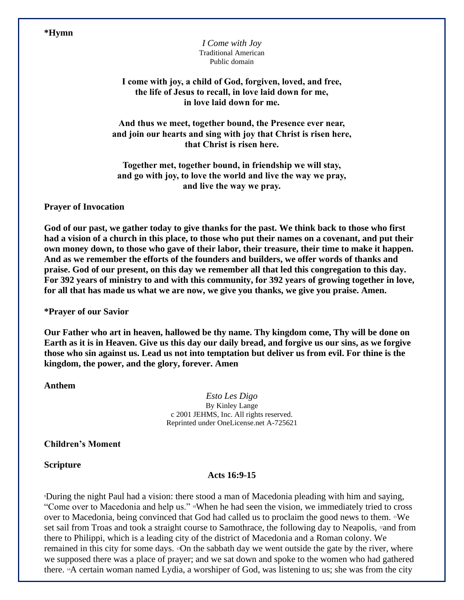## **\*Hymn**

*I Come with Joy*  Traditional American Public domain

**I come with joy, a child of God, forgiven, loved, and free, the life of Jesus to recall, in love laid down for me, in love laid down for me.**

**And thus we meet, together bound, the Presence ever near, and join our hearts and sing with joy that Christ is risen here, that Christ is risen here.**

**Together met, together bound, in friendship we will stay, and go with joy, to love the world and live the way we pray, and live the way we pray.**

## **Prayer of Invocation**

**God of our past, we gather today to give thanks for the past. We think back to those who first had a vision of a church in this place, to those who put their names on a covenant, and put their own money down, to those who gave of their labor, their treasure, their time to make it happen. And as we remember the efforts of the founders and builders, we offer words of thanks and praise. God of our present, on this day we remember all that led this congregation to this day. For 392 years of ministry to and with this community, for 392 years of growing together in love, for all that has made us what we are now, we give you thanks, we give you praise. Amen.**

**\*Prayer of our Savior**

**Our Father who art in heaven, hallowed be thy name. Thy kingdom come, Thy will be done on Earth as it is in Heaven. Give us this day our daily bread, and forgive us our sins, as we forgive those who sin against us. Lead us not into temptation but deliver us from evil. For thine is the kingdom, the power, and the glory, forever. Amen**

**Anthem**

*Esto Les Digo*  By Kinley Lange c 2001 JEHMS, Inc. All rights reserved. Reprinted under OneLicense.net A-725621

**Children's Moment**

**Scripture**

### **Acts 16:9-15**

<sup>9</sup>During the night Paul had a vision: there stood a man of Macedonia pleading with him and saying, "Come over to Macedonia and help us." <sup>10</sup>When he had seen the vision, we immediately tried to cross over to Macedonia, being convinced that God had called us to proclaim the good news to them.  $\mathbb{I}^1$ We set sail from Troas and took a straight course to Samothrace, the following day to Neapolis, 12and from there to Philippi, which is a leading city of the district of Macedonia and a Roman colony. We remained in this city for some days. 13On the sabbath day we went outside the gate by the river, where we supposed there was a place of prayer; and we sat down and spoke to the women who had gathered there. 14A certain woman named Lydia, a worshiper of God, was listening to us; she was from the city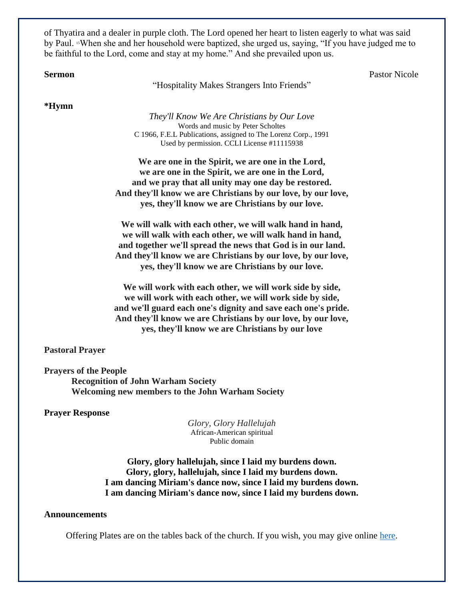of Thyatira and a dealer in purple cloth. The Lord opened her heart to listen eagerly to what was said by Paul. <sup>15</sup>When she and her household were baptized, she urged us, saying, "If you have judged me to be faithful to the Lord, come and stay at my home." And she prevailed upon us.

**Sermon** Pastor Nicole

"Hospitality Makes Strangers Into Friends"

**\*Hymn** 

*They'll Know We Are Christians by Our Love* Words and music by Peter Scholtes C 1966, F.E.L Publications, assigned to The Lorenz Corp., 1991 Used by permission. CCLI License #11115938

**We are one in the Spirit, we are one in the Lord, we are one in the Spirit, we are one in the Lord, and we pray that all unity may one day be restored. And they'll know we are Christians by our love, by our love, yes, they'll know we are Christians by our love.**

**We will walk with each other, we will walk hand in hand, we will walk with each other, we will walk hand in hand, and together we'll spread the news that God is in our land. And they'll know we are Christians by our love, by our love, yes, they'll know we are Christians by our love.**

**We will work with each other, we will work side by side, we will work with each other, we will work side by side, and we'll guard each one's dignity and save each one's pride. And they'll know we are Christians by our love, by our love, yes, they'll know we are Christians by our love**

**Pastoral Prayer**

**Prayers of the People Recognition of John Warham Society Welcoming new members to the John Warham Society**

**Prayer Response** 

*Glory, Glory Hallelujah* African-American spiritual Public domain

**Glory, glory hallelujah, since I laid my burdens down. Glory, glory, hallelujah, since I laid my burdens down. I am dancing Miriam's dance now, since I laid my burdens down. I am dancing Miriam's dance now, since I laid my burdens down.**

#### **Announcements**

Offering Plates are on the tables back of the church. If you wish, you may give online [here.](https://www.eservicepayments.com/cgi-bin/Vanco_ver3.vps?appver3=tYgT1GfNxRUldiimjHMvOd2KF4BvMKR-ja0anVeTG_VskSODEa-Up5lt373GHnco2evTpo0mld6BrVzd2nG0px7lViKGoqF0eMUCzPrgDSw=&ver=3)